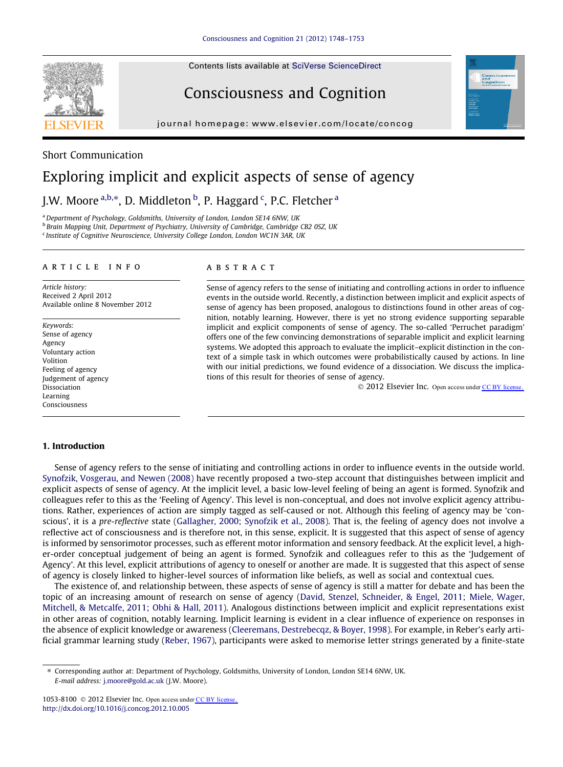Contents lists available at [SciVerse ScienceDirect](http://www.sciencedirect.com/science/journal/10538100)

## Consciousness and Cognition

journal homepage: [www.elsevier.com/locate/concog](http://www.elsevier.com/locate/concog)



## Short Communication

# Exploring implicit and explicit aspects of sense of agency

J.W. Moore <sup>a,b,</sup>\*, D. Middleton <sup>b</sup>, P. Haggard <sup>c</sup>, P.C. Fletcher <sup>a</sup>

a Department of Psychology, Goldsmiths, University of London, London SE14 6NW, UK

<sup>b</sup> Brain Mapping Unit, Department of Psychiatry, University of Cambridge, Cambridge CB2 0SZ, UK

<sup>c</sup> Institute of Cognitive Neuroscience, University College London, London WC1N 3AR, UK

## article info

Article history: Received 2 April 2012 Available online 8 November 2012

Keywords: Sense of agency Agency Voluntary action Volition Feeling of agency Judgement of agency Dissociation Learning Consciousness

## **ABSTRACT**

Sense of agency refers to the sense of initiating and controlling actions in order to influence events in the outside world. Recently, a distinction between implicit and explicit aspects of sense of agency has been proposed, analogous to distinctions found in other areas of cognition, notably learning. However, there is yet no strong evidence supporting separable implicit and explicit components of sense of agency. The so-called 'Perruchet paradigm' offers one of the few convincing demonstrations of separable implicit and explicit learning systems. We adopted this approach to evaluate the implicit–explicit distinction in the context of a simple task in which outcomes were probabilistically caused by actions. In line with our initial predictions, we found evidence of a dissociation. We discuss the implications of this result for theories of sense of agency.

© 2012 Elsevier Inc. Open access under [CC BY license.](http://creativecommons.org/licenses/by/3.0/)

## 1. Introduction

Sense of agency refers to the sense of initiating and controlling actions in order to influence events in the outside world. [Synofzik, Vosgerau, and Newen \(2008\)](#page-5-0) have recently proposed a two-step account that distinguishes between implicit and explicit aspects of sense of agency. At the implicit level, a basic low-level feeling of being an agent is formed. Synofzik and colleagues refer to this as the 'Feeling of Agency'. This level is non-conceptual, and does not involve explicit agency attributions. Rather, experiences of action are simply tagged as self-caused or not. Although this feeling of agency may be 'con-scious', it is a pre-reflective state ([Gallagher, 2000; Synofzik et al., 2008\)](#page-5-0). That is, the feeling of agency does not involve a reflective act of consciousness and is therefore not, in this sense, explicit. It is suggested that this aspect of sense of agency is informed by sensorimotor processes, such as efferent motor information and sensory feedback. At the explicit level, a higher-order conceptual judgement of being an agent is formed. Synofzik and colleagues refer to this as the 'Judgement of Agency'. At this level, explicit attributions of agency to oneself or another are made. It is suggested that this aspect of sense of agency is closely linked to higher-level sources of information like beliefs, as well as social and contextual cues.

The existence of, and relationship between, these aspects of sense of agency is still a matter for debate and has been the topic of an increasing amount of research on sense of agency [\(David, Stenzel, Schneider, & Engel, 2011; Miele, Wager,](#page-5-0) [Mitchell, & Metcalfe, 2011; Obhi & Hall, 2011\)](#page-5-0). Analogous distinctions between implicit and explicit representations exist in other areas of cognition, notably learning. Implicit learning is evident in a clear influence of experience on responses in the absence of explicit knowledge or awareness ([Cleeremans, Destrebecqz, & Boyer, 1998\)](#page-5-0). For example, in Reber's early artificial grammar learning study ([Reber, 1967\)](#page-5-0), participants were asked to memorise letter strings generated by a finite-state

<sup>⇑</sup> Corresponding author at: Department of Psychology, Goldsmiths, University of London, London SE14 6NW, UK. E-mail address: [j.moore@gold.ac.uk](mailto:j.moore@gold.ac.uk) (J.W. Moore).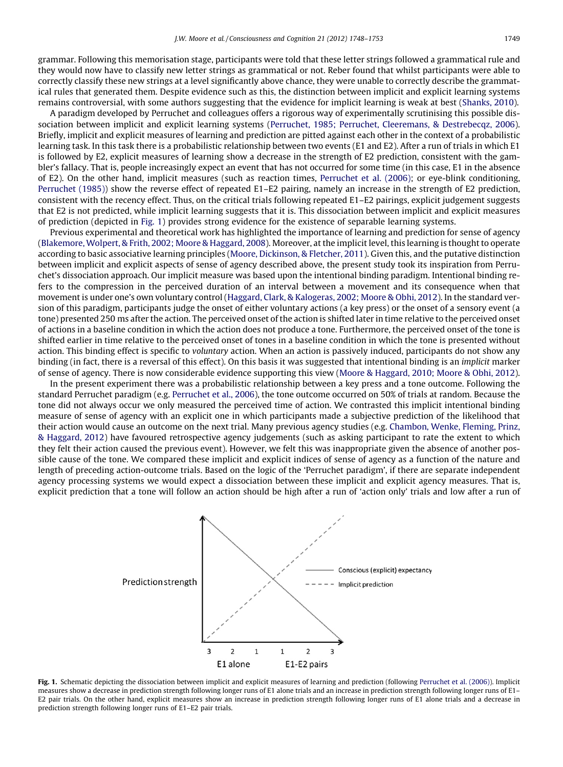grammar. Following this memorisation stage, participants were told that these letter strings followed a grammatical rule and they would now have to classify new letter strings as grammatical or not. Reber found that whilst participants were able to correctly classify these new strings at a level significantly above chance, they were unable to correctly describe the grammatical rules that generated them. Despite evidence such as this, the distinction between implicit and explicit learning systems remains controversial, with some authors suggesting that the evidence for implicit learning is weak at best [\(Shanks, 2010](#page-5-0)).

A paradigm developed by Perruchet and colleagues offers a rigorous way of experimentally scrutinising this possible dissociation between implicit and explicit learning systems ([Perruchet, 1985; Perruchet, Cleeremans, & Destrebecqz, 2006](#page-5-0)). Briefly, implicit and explicit measures of learning and prediction are pitted against each other in the context of a probabilistic learning task. In this task there is a probabilistic relationship between two events (E1 and E2). After a run of trials in which E1 is followed by E2, explicit measures of learning show a decrease in the strength of E2 prediction, consistent with the gambler's fallacy. That is, people increasingly expect an event that has not occurred for some time (in this case, E1 in the absence of E2). On the other hand, implicit measures (such as reaction times, [Perruchet et al. \(2006\)](#page-5-0); or eye-blink conditioning, [Perruchet \(1985\)](#page-5-0)) show the reverse effect of repeated E1–E2 pairing, namely an increase in the strength of E2 prediction, consistent with the recency effect. Thus, on the critical trials following repeated E1–E2 pairings, explicit judgement suggests that E2 is not predicted, while implicit learning suggests that it is. This dissociation between implicit and explicit measures of prediction (depicted in Fig. 1) provides strong evidence for the existence of separable learning systems.

Previous experimental and theoretical work has highlighted the importance of learning and prediction for sense of agency ([Blakemore, Wolpert, & Frith, 2002; Moore & Haggard, 2008\)](#page-5-0). Moreover, at the implicit level, this learning is thought to operate according to basic associative learning principles ([Moore, Dickinson, & Fletcher, 2011](#page-5-0)). Given this, and the putative distinction between implicit and explicit aspects of sense of agency described above, the present study took its inspiration from Perruchet's dissociation approach. Our implicit measure was based upon the intentional binding paradigm. Intentional binding refers to the compression in the perceived duration of an interval between a movement and its consequence when that movement is under one's own voluntary control ([Haggard, Clark, & Kalogeras, 2002; Moore & Obhi, 2012](#page-5-0)). In the standard version of this paradigm, participants judge the onset of either voluntary actions (a key press) or the onset of a sensory event (a tone) presented 250 ms after the action. The perceived onset of the action is shifted later in time relative to the perceived onset of actions in a baseline condition in which the action does not produce a tone. Furthermore, the perceived onset of the tone is shifted earlier in time relative to the perceived onset of tones in a baseline condition in which the tone is presented without action. This binding effect is specific to voluntary action. When an action is passively induced, participants do not show any binding (in fact, there is a reversal of this effect). On this basis it was suggested that intentional binding is an implicit marker of sense of agency. There is now considerable evidence supporting this view [\(Moore & Haggard, 2010; Moore & Obhi, 2012](#page-5-0)).

In the present experiment there was a probabilistic relationship between a key press and a tone outcome. Following the standard Perruchet paradigm (e.g. [Perruchet et al., 2006](#page-5-0)), the tone outcome occurred on 50% of trials at random. Because the tone did not always occur we only measured the perceived time of action. We contrasted this implicit intentional binding measure of sense of agency with an explicit one in which participants made a subjective prediction of the likelihood that their action would cause an outcome on the next trial. Many previous agency studies (e.g. [Chambon, Wenke, Fleming, Prinz,](#page-5-0) [& Haggard, 2012\)](#page-5-0) have favoured retrospective agency judgements (such as asking participant to rate the extent to which they felt their action caused the previous event). However, we felt this was inappropriate given the absence of another possible cause of the tone. We compared these implicit and explicit indices of sense of agency as a function of the nature and length of preceding action-outcome trials. Based on the logic of the 'Perruchet paradigm', if there are separate independent agency processing systems we would expect a dissociation between these implicit and explicit agency measures. That is, explicit prediction that a tone will follow an action should be high after a run of 'action only' trials and low after a run of



Fig. 1. Schematic depicting the dissociation between implicit and explicit measures of learning and prediction (following [Perruchet et al. \(2006\)\)](#page-5-0). Implicit measures show a decrease in prediction strength following longer runs of E1 alone trials and an increase in prediction strength following longer runs of E1– E2 pair trials. On the other hand, explicit measures show an increase in prediction strength following longer runs of E1 alone trials and a decrease in prediction strength following longer runs of E1–E2 pair trials.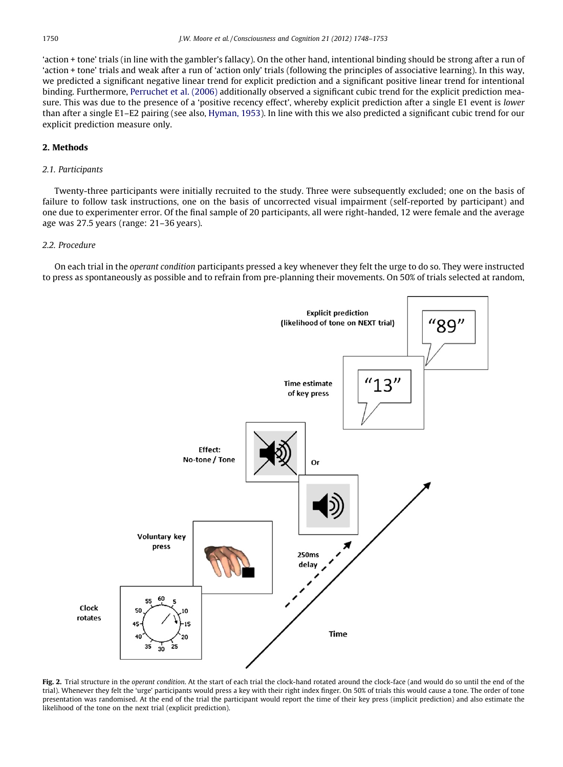<span id="page-2-0"></span>'action + tone' trials (in line with the gambler's fallacy). On the other hand, intentional binding should be strong after a run of 'action + tone' trials and weak after a run of 'action only' trials (following the principles of associative learning). In this way, we predicted a significant negative linear trend for explicit prediction and a significant positive linear trend for intentional binding. Furthermore, [Perruchet et al. \(2006\)](#page-5-0) additionally observed a significant cubic trend for the explicit prediction measure. This was due to the presence of a 'positive recency effect', whereby explicit prediction after a single E1 event is lower than after a single E1–E2 pairing (see also, [Hyman, 1953](#page-5-0)). In line with this we also predicted a significant cubic trend for our explicit prediction measure only.

## 2. Methods

## 2.1. Participants

Twenty-three participants were initially recruited to the study. Three were subsequently excluded; one on the basis of failure to follow task instructions, one on the basis of uncorrected visual impairment (self-reported by participant) and one due to experimenter error. Of the final sample of 20 participants, all were right-handed, 12 were female and the average age was 27.5 years (range: 21–36 years).

### 2.2. Procedure

On each trial in the operant condition participants pressed a key whenever they felt the urge to do so. They were instructed to press as spontaneously as possible and to refrain from pre-planning their movements. On 50% of trials selected at random,



Fig. 2. Trial structure in the operant condition. At the start of each trial the clock-hand rotated around the clock-face (and would do so until the end of the trial). Whenever they felt the 'urge' participants would press a key with their right index finger. On 50% of trials this would cause a tone. The order of tone presentation was randomised. At the end of the trial the participant would report the time of their key press (implicit prediction) and also estimate the likelihood of the tone on the next trial (explicit prediction).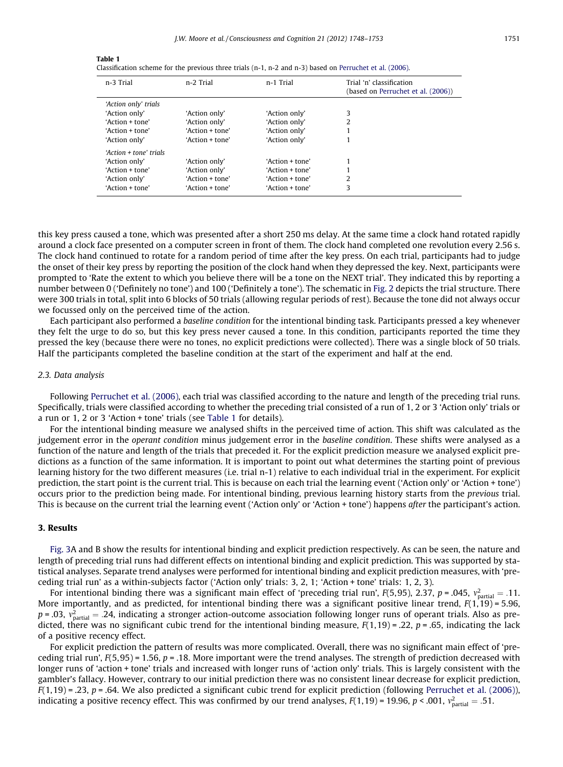#### Table 1

Classification scheme for the previous three trials (n-1, n-2 and n-3) based on [Perruchet et al. \(2006\)](#page-5-0).

| n-3 Trial              | n-2 Trial       | n-1 Trial       | Trial 'n' classification<br>(based on Perruchet et al. (2006)) |
|------------------------|-----------------|-----------------|----------------------------------------------------------------|
| 'Action only' trials   |                 |                 |                                                                |
| 'Action only'          | 'Action only'   | 'Action only'   | 3                                                              |
| 'Action + tone'        | 'Action only'   | 'Action only'   | 2                                                              |
| 'Action + tone'        | 'Action + tone' | 'Action only'   |                                                                |
| 'Action only'          | 'Action + tone' | 'Action only'   |                                                                |
| 'Action + tone' trials |                 |                 |                                                                |
| 'Action only'          | 'Action only'   | 'Action + tone' |                                                                |
| 'Action + tone'        | 'Action only'   | 'Action + tone' |                                                                |
| 'Action only'          | 'Action + tone' | 'Action + tone' | 2                                                              |
| 'Action + tone'        | 'Action + tone' | 'Action + tone' | 3                                                              |

this key press caused a tone, which was presented after a short 250 ms delay. At the same time a clock hand rotated rapidly around a clock face presented on a computer screen in front of them. The clock hand completed one revolution every 2.56 s. The clock hand continued to rotate for a random period of time after the key press. On each trial, participants had to judge the onset of their key press by reporting the position of the clock hand when they depressed the key. Next, participants were prompted to 'Rate the extent to which you believe there will be a tone on the NEXT trial'. They indicated this by reporting a number between 0 ('Definitely no tone') and 100 ('Definitely a tone'). The schematic in [Fig. 2](#page-2-0) depicts the trial structure. There were 300 trials in total, split into 6 blocks of 50 trials (allowing regular periods of rest). Because the tone did not always occur we focussed only on the perceived time of the action.

Each participant also performed a baseline condition for the intentional binding task. Participants pressed a key whenever they felt the urge to do so, but this key press never caused a tone. In this condition, participants reported the time they pressed the key (because there were no tones, no explicit predictions were collected). There was a single block of 50 trials. Half the participants completed the baseline condition at the start of the experiment and half at the end.

#### 2.3. Data analysis

Following [Perruchet et al. \(2006\),](#page-5-0) each trial was classified according to the nature and length of the preceding trial runs. Specifically, trials were classified according to whether the preceding trial consisted of a run of 1, 2 or 3 'Action only' trials or a run or 1, 2 or 3 'Action + tone' trials (see Table 1 for details).

For the intentional binding measure we analysed shifts in the perceived time of action. This shift was calculated as the judgement error in the operant condition minus judgement error in the baseline condition. These shifts were analysed as a function of the nature and length of the trials that preceded it. For the explicit prediction measure we analysed explicit predictions as a function of the same information. It is important to point out what determines the starting point of previous learning history for the two different measures (i.e. trial n-1) relative to each individual trial in the experiment. For explicit prediction, the start point is the current trial. This is because on each trial the learning event ('Action only' or 'Action + tone') occurs prior to the prediction being made. For intentional binding, previous learning history starts from the previous trial. This is because on the current trial the learning event ('Action only' or 'Action + tone') happens after the participant's action.

## 3. Results

[Fig. 3](#page-4-0)A and B show the results for intentional binding and explicit prediction respectively. As can be seen, the nature and length of preceding trial runs had different effects on intentional binding and explicit prediction. This was supported by statistical analyses. Separate trend analyses were performed for intentional binding and explicit prediction measures, with 'preceding trial run' as a within-subjects factor ('Action only' trials: 3, 2, 1; 'Action + tone' trials: 1, 2, 3).

For intentional binding there was a significant main effect of 'preceding trial run', F(5,95), 2.37, p = .045,  $v^2_{\text{partial}} = .11$ . More importantly, and as predicted, for intentional binding there was a significant positive linear trend,  $F(1,19) = 5.96$ ,  $p$  = .03,  $v_{\text{partial}}^2 = 0.24$ , indicating a stronger action-outcome association following longer runs of operant trials. Also as predicted, there was no significant cubic trend for the intentional binding measure,  $F(1,19) = .22$ ,  $p = .65$ , indicating the lack of a positive recency effect.

For explicit prediction the pattern of results was more complicated. Overall, there was no significant main effect of 'preceding trial run',  $F(5,95) = 1.56$ ,  $p = 0.18$ . More important were the trend analyses. The strength of prediction decreased with longer runs of 'action + tone' trials and increased with longer runs of 'action only' trials. This is largely consistent with the gambler's fallacy. However, contrary to our initial prediction there was no consistent linear decrease for explicit prediction,  $F(1,19)$  = .23,  $p$  = .64. We also predicted a significant cubic trend for explicit prediction (following [Perruchet et al. \(2006\)](#page-5-0)), indicating a positive recency effect. This was confirmed by our trend analyses,  $F(1,19)$  = 19.96, p < .001,  $v_{\rm partial}^2 = .51$ .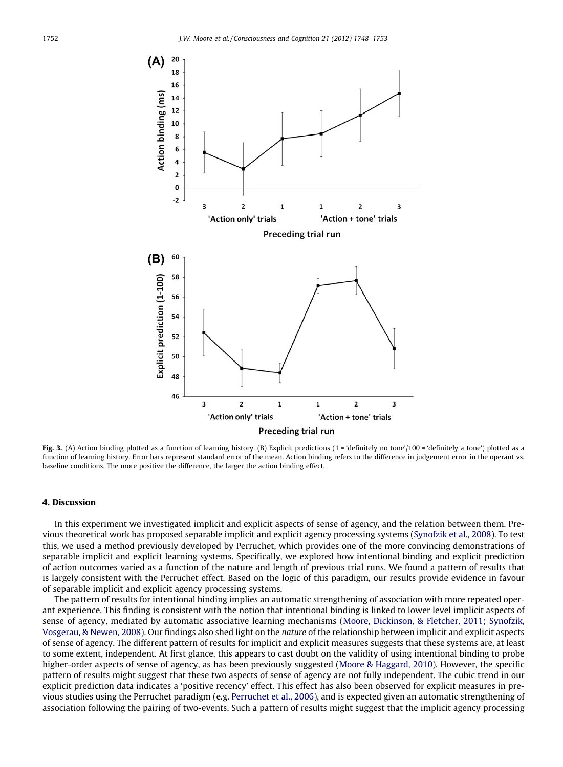<span id="page-4-0"></span>

Fig. 3. (A) Action binding plotted as a function of learning history. (B) Explicit predictions  $(1 = 'definition to the')$  no tone'/100 = 'definitely a tone') plotted as a function of learning history. Error bars represent standard error of the mean. Action binding refers to the difference in judgement error in the operant vs. baseline conditions. The more positive the difference, the larger the action binding effect.

## 4. Discussion

In this experiment we investigated implicit and explicit aspects of sense of agency, and the relation between them. Previous theoretical work has proposed separable implicit and explicit agency processing systems [\(Synofzik et al., 2008](#page-5-0)). To test this, we used a method previously developed by Perruchet, which provides one of the more convincing demonstrations of separable implicit and explicit learning systems. Specifically, we explored how intentional binding and explicit prediction of action outcomes varied as a function of the nature and length of previous trial runs. We found a pattern of results that is largely consistent with the Perruchet effect. Based on the logic of this paradigm, our results provide evidence in favour of separable implicit and explicit agency processing systems.

The pattern of results for intentional binding implies an automatic strengthening of association with more repeated operant experience. This finding is consistent with the notion that intentional binding is linked to lower level implicit aspects of sense of agency, mediated by automatic associative learning mechanisms ([Moore, Dickinson, & Fletcher, 2011; Synofzik,](#page-5-0) [Vosgerau, & Newen, 2008](#page-5-0)). Our findings also shed light on the nature of the relationship between implicit and explicit aspects of sense of agency. The different pattern of results for implicit and explicit measures suggests that these systems are, at least to some extent, independent. At first glance, this appears to cast doubt on the validity of using intentional binding to probe higher-order aspects of sense of agency, as has been previously suggested [\(Moore & Haggard, 2010](#page-5-0)). However, the specific pattern of results might suggest that these two aspects of sense of agency are not fully independent. The cubic trend in our explicit prediction data indicates a 'positive recency' effect. This effect has also been observed for explicit measures in previous studies using the Perruchet paradigm (e.g. [Perruchet et al., 2006\)](#page-5-0), and is expected given an automatic strengthening of association following the pairing of two-events. Such a pattern of results might suggest that the implicit agency processing